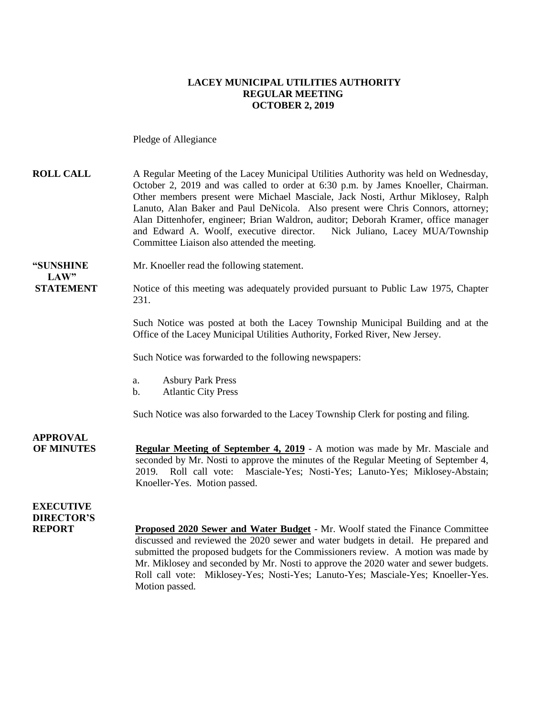#### **LACEY MUNICIPAL UTILITIES AUTHORITY REGULAR MEETING OCTOBER 2, 2019**

Pledge of Allegiance

**ROLL CALL** A Regular Meeting of the Lacey Municipal Utilities Authority was held on Wednesday, October 2, 2019 and was called to order at 6:30 p.m. by James Knoeller, Chairman. Other members present were Michael Masciale, Jack Nosti, Arthur Miklosey, Ralph Lanuto, Alan Baker and Paul DeNicola. Also present were Chris Connors, attorney; Alan Dittenhofer, engineer; Brian Waldron, auditor; Deborah Kramer, office manager and Edward A. Woolf, executive director. Nick Juliano, Lacey MUA/Township Committee Liaison also attended the meeting.

**"SUNSHINE** Mr. Knoeller read the following statement.

**STATEMENT** Notice of this meeting was adequately provided pursuant to Public Law 1975, Chapter 231.

> Such Notice was posted at both the Lacey Township Municipal Building and at the Office of the Lacey Municipal Utilities Authority, Forked River, New Jersey.

Such Notice was forwarded to the following newspapers:

- a. Asbury Park Press
- b. Atlantic City Press

Such Notice was also forwarded to the Lacey Township Clerk for posting and filing.

**OF MINUTES Regular Meeting of September 4, 2019** - A motion was made by Mr. Masciale and seconded by Mr. Nosti to approve the minutes of the Regular Meeting of September 4, 2019. Roll call vote: Masciale-Yes; Nosti-Yes; Lanuto-Yes; Miklosey-Abstain; Knoeller-Yes. Motion passed.

### **EXECUTIVE DIRECTOR'S**

**APPROVAL**

 $LAW"$ 

**REPORT Proposed 2020 Sewer and Water Budget** - Mr. Woolf stated the Finance Committee discussed and reviewed the 2020 sewer and water budgets in detail. He prepared and submitted the proposed budgets for the Commissioners review. A motion was made by Mr. Miklosey and seconded by Mr. Nosti to approve the 2020 water and sewer budgets. Roll call vote: Miklosey-Yes; Nosti-Yes; Lanuto-Yes; Masciale-Yes; Knoeller-Yes. Motion passed.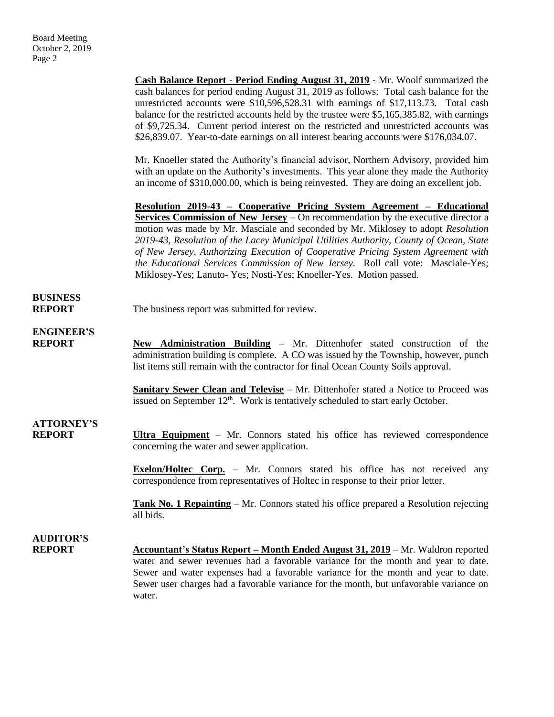**Cash Balance Report - Period Ending August 31, 2019** - Mr. Woolf summarized the cash balances for period ending August 31, 2019 as follows: Total cash balance for the unrestricted accounts were \$10,596,528.31 with earnings of \$17,113.73. Total cash balance for the restricted accounts held by the trustee were \$5,165,385.82, with earnings of \$9,725.34. Current period interest on the restricted and unrestricted accounts was \$26,839.07. Year-to-date earnings on all interest bearing accounts were \$176,034.07.

Mr. Knoeller stated the Authority's financial advisor, Northern Advisory, provided him with an update on the Authority's investments. This year alone they made the Authority an income of \$310,000.00, which is being reinvested. They are doing an excellent job.

**Resolution 2019-43 – Cooperative Pricing System Agreement – Educational Services Commission of New Jersey** – On recommendation by the executive director a motion was made by Mr. Masciale and seconded by Mr. Miklosey to adopt *Resolution 2019-43, Resolution of the Lacey Municipal Utilities Authority, County of Ocean, State of New Jersey, Authorizing Execution of Cooperative Pricing System Agreement with the Educational Services Commission of New Jersey.* Roll call vote: Masciale-Yes; Miklosey-Yes; Lanuto- Yes; Nosti-Yes; Knoeller-Yes. Motion passed.

## **BUSINESS**

**REPORT** The business report was submitted for review.

**ENGINEER'S**

**REPORT New Administration Building** – Mr. Dittenhofer stated construction of the administration building is complete. A CO was issued by the Township, however, punch list items still remain with the contractor for final Ocean County Soils approval.

> **Sanitary Sewer Clean and Televise** – Mr. Dittenhofer stated a Notice to Proceed was issued on September  $12<sup>th</sup>$ . Work is tentatively scheduled to start early October.

## **ATTORNEY'S**

**REPORT Ultra Equipment** – Mr. Connors stated his office has reviewed correspondence concerning the water and sewer application.

> **Exelon/Holtec Corp.** – Mr. Connors stated his office has not received any correspondence from representatives of Holtec in response to their prior letter.

> **Tank No. 1 Repainting** – Mr. Connors stated his office prepared a Resolution rejecting all bids.

# **AUDITOR'S**

**REPORT Accountant's Status Report – Month Ended August 31, 2019** – Mr. Waldron reported water and sewer revenues had a favorable variance for the month and year to date. Sewer and water expenses had a favorable variance for the month and year to date. Sewer user charges had a favorable variance for the month, but unfavorable variance on water.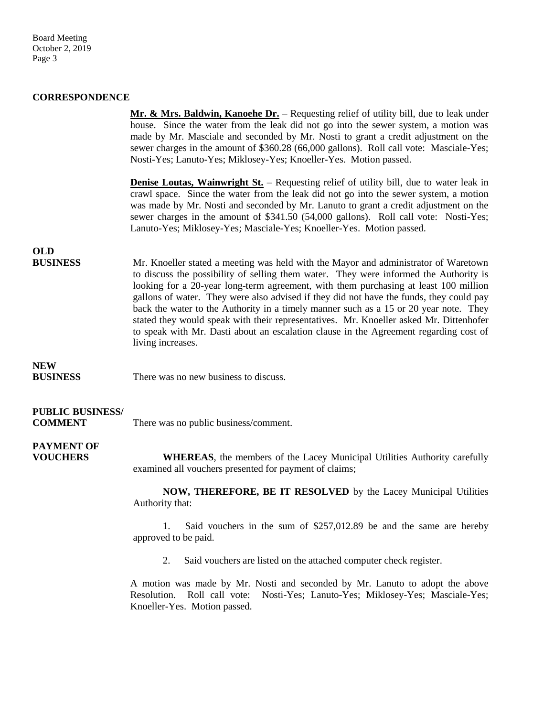Board Meeting October 2, 2019 Page 3

#### **CORRESPONDENCE**

|                                           | Mr. & Mrs. Baldwin, Kanoche Dr. – Requesting relief of utility bill, due to leak under<br>house. Since the water from the leak did not go into the sewer system, a motion was<br>made by Mr. Masciale and seconded by Mr. Nosti to grant a credit adjustment on the<br>sewer charges in the amount of \$360.28 (66,000 gallons). Roll call vote: Masciale-Yes;<br>Nosti-Yes; Lanuto-Yes; Miklosey-Yes; Knoeller-Yes. Motion passed.                                                                                                                                                                                                                              |
|-------------------------------------------|------------------------------------------------------------------------------------------------------------------------------------------------------------------------------------------------------------------------------------------------------------------------------------------------------------------------------------------------------------------------------------------------------------------------------------------------------------------------------------------------------------------------------------------------------------------------------------------------------------------------------------------------------------------|
|                                           | <b>Denise Loutas, Wainwright St.</b> – Requesting relief of utility bill, due to water leak in<br>crawl space. Since the water from the leak did not go into the sewer system, a motion<br>was made by Mr. Nosti and seconded by Mr. Lanuto to grant a credit adjustment on the<br>sewer charges in the amount of \$341.50 (54,000 gallons). Roll call vote: Nosti-Yes;<br>Lanuto-Yes; Miklosey-Yes; Masciale-Yes; Knoeller-Yes. Motion passed.                                                                                                                                                                                                                  |
| <b>OLD</b><br><b>BUSINESS</b>             | Mr. Knoeller stated a meeting was held with the Mayor and administrator of Waretown<br>to discuss the possibility of selling them water. They were informed the Authority is<br>looking for a 20-year long-term agreement, with them purchasing at least 100 million<br>gallons of water. They were also advised if they did not have the funds, they could pay<br>back the water to the Authority in a timely manner such as a 15 or 20 year note. They<br>stated they would speak with their representatives. Mr. Knoeller asked Mr. Dittenhofer<br>to speak with Mr. Dasti about an escalation clause in the Agreement regarding cost of<br>living increases. |
| <b>NEW</b><br><b>BUSINESS</b>             | There was no new business to discuss.                                                                                                                                                                                                                                                                                                                                                                                                                                                                                                                                                                                                                            |
| <b>PUBLIC BUSINESS/</b><br><b>COMMENT</b> | There was no public business/comment.                                                                                                                                                                                                                                                                                                                                                                                                                                                                                                                                                                                                                            |
| <b>PAYMENT OF</b><br><b>VOUCHERS</b>      | <b>WHEREAS</b> , the members of the Lacey Municipal Utilities Authority carefully<br>examined all vouchers presented for payment of claims;                                                                                                                                                                                                                                                                                                                                                                                                                                                                                                                      |
|                                           | NOW, THEREFORE, BE IT RESOLVED by the Lacey Municipal Utilities<br>Authority that:                                                                                                                                                                                                                                                                                                                                                                                                                                                                                                                                                                               |
|                                           | Said vouchers in the sum of $$257,012.89$ be and the same are hereby<br>1.<br>approved to be paid.                                                                                                                                                                                                                                                                                                                                                                                                                                                                                                                                                               |
|                                           | Said vouchers are listed on the attached computer check register.<br>2.                                                                                                                                                                                                                                                                                                                                                                                                                                                                                                                                                                                          |
|                                           | A motion was made by Mr. Nosti and seconded by Mr. Lanuto to adopt the above<br>Resolution.<br>Roll call vote: Nosti-Yes; Lanuto-Yes; Miklosey-Yes; Masciale-Yes;                                                                                                                                                                                                                                                                                                                                                                                                                                                                                                |

Knoeller-Yes. Motion passed.